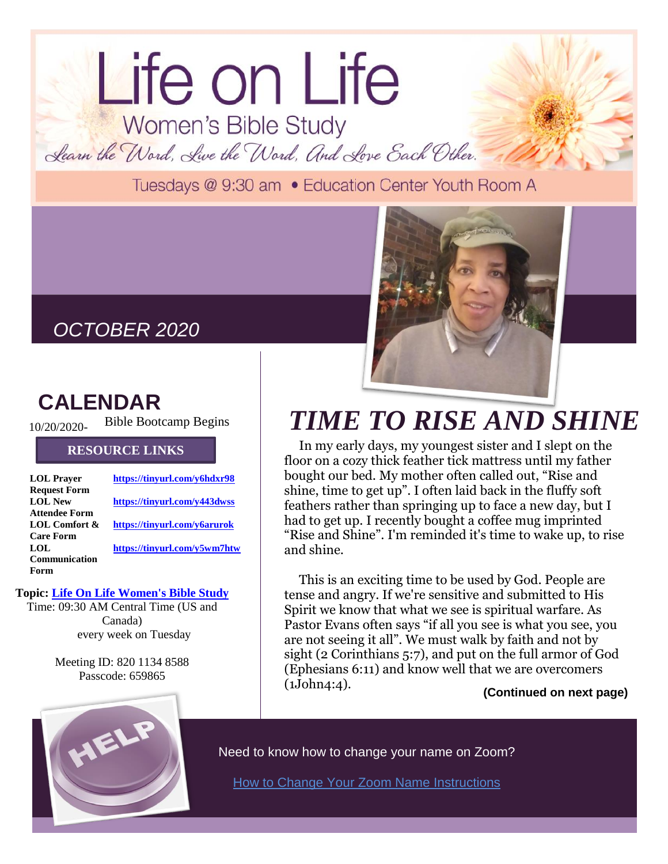## Life on Life Women's Bible Study Learn the Word, Live the Word, And Love Each Other.

Tuesdays @ 9:30 am . Education Center Youth Room A

### *OCTOBER 2020*

### **CALENDAR**

10/20/2020- Bible Bootcamp Begins

#### **RESOURCE LINKS**

| <b>LOL</b> Prayer    | https://tinyurl.com/y6hdxr98 |
|----------------------|------------------------------|
| <b>Request Form</b>  |                              |
| <b>LOL New</b>       | https://tinyurl.com/y443dwss |
| <b>Attendee Form</b> |                              |
| LOL Comfort &        | https://tinyurl.com/y6arurok |
| <b>Care Form</b>     |                              |
| LOL.                 | https://tinyurl.com/y5wm7htw |
| Communication        |                              |
| Form                 |                              |

#### **Topic: [Life On Life Women's Bible Study](https://protect-us.mimecast.com/s/3er7CL91V9S7oy1HBjiAu?domain=us02web.zoom.us)**

Time: 09:30 AM Central Time (US and Canada) every week on Tuesday

> Meeting ID: 820 1134 8588 Passcode: 659865

## *TIME TO RISE AND SHINE*

In my early days, my youngest sister and I slept on the floor on a cozy thick feather tick mattress until my father bought our bed. My mother often called out, "Rise and shine, time to get up". I often laid back in the fluffy soft feathers rather than springing up to face a new day, but I had to get up. I recently bought a coffee mug imprinted "Rise and Shine". I'm reminded it's time to wake up, to rise and shine.

This is an exciting time to be used by God. People are tense and angry. If we're sensitive and submitted to His Spirit we know that what we see is spiritual warfare. As Pastor Evans often says "if all you see is what you see, you are not seeing it all". We must walk by faith and not by sight (2 Corinthians 5:7), and put on the full armor of God (Ephesians 6:11) and know well that we are overcomers (1John4:4).

**(Continued on next page)**



Need to know how to change your name on Zoom?

**[How to Change Your Zoom Name Instructions](https://drive.google.com/file/d/1BhakPFPGVC_olnLZB9YM3YW7baDUK3Ju/view?usp=sharing)**